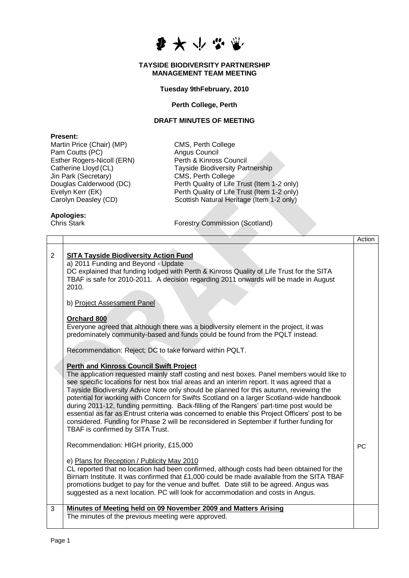### **TAYSIDE BIODIVERSITY PARTNERSHIP MANAGEMENT TEAM MEETING**

## **Tuesday 9thFebruary, 2010**

### **Perth College, Perth**

### **DRAFT MINUTES OF MEETING**

### **Present:**

Martin Price (Chair) (MP) CMS, Perth College Pam Coutts (PC) <br>
Esther Rogers-Nicoll (ERN) Perth & Kinross Council Esther Rogers-Nicoll (ERN) Jin Park (Secretary) CMS, Perth College<br>
Douglas Calderwood (DC) Perth Quality of Life

Catherine Lloyd (CL)<br>
University Partnership<br>
University Partnership<br>
CMS, Perth College Douglas Calderwood (DC) Perth Quality of Life Trust (Item 1-2 only)<br>Evelyn Kerr (EK) Perth Quality of Life Trust (Item 1-2 only) Evelyn Kerr (EK) <br>
Carolyn Deasley (CD) **Perth Quality of Life Trust (Item 1-2 only)**<br>
Scottish Natural Heritage (Item 1-2 only) Scottish Natural Heritage (Item 1-2 only)

# **Apologies:**

Forestry Commission (Scotland)

|                |                                                                                                                                                                                                                                                                                                                                                                                                                                                                                                                                                                                                                                                                                                                                                                  | Action    |
|----------------|------------------------------------------------------------------------------------------------------------------------------------------------------------------------------------------------------------------------------------------------------------------------------------------------------------------------------------------------------------------------------------------------------------------------------------------------------------------------------------------------------------------------------------------------------------------------------------------------------------------------------------------------------------------------------------------------------------------------------------------------------------------|-----------|
| $\overline{2}$ | <b>SITA Tayside Biodiversity Action Fund</b><br>a) 2011 Funding and Beyond - Update<br>DC explained that funding lodged with Perth & Kinross Quality of Life Trust for the SITA<br>TBAF is safe for 2010-2011. A decision regarding 2011 onwards will be made in August<br>2010.                                                                                                                                                                                                                                                                                                                                                                                                                                                                                 |           |
|                | b) Project Assessment Panel                                                                                                                                                                                                                                                                                                                                                                                                                                                                                                                                                                                                                                                                                                                                      |           |
|                | Orchard 800<br>Everyone agreed that although there was a biodiversity element in the project, it was<br>predominately community-based and funds could be found from the PQLT instead.<br>Recommendation: Reject; DC to take forward within PQLT.                                                                                                                                                                                                                                                                                                                                                                                                                                                                                                                 |           |
|                | <b>Perth and Kinross Council Swift Project</b><br>The application requested mainly staff costing and nest boxes. Panel members would like to<br>see specific locations for nest box trial areas and an interim report. It was agreed that a<br>Tayside Biodiversity Advice Note only should be planned for this autumn, reviewing the<br>potential for working with Concern for Swifts Scotland on a larger Scotland-wide handbook<br>during 2011-12, funding permitting. Back-filling of the Rangers' part-time post would be<br>essential as far as Entrust criteria was concerned to enable this Project Officers' post to be<br>considered. Funding for Phase 2 will be reconsidered in September if further funding for<br>TBAF is confirmed by SITA Trust. |           |
|                | Recommendation: HIGH priority, £15,000                                                                                                                                                                                                                                                                                                                                                                                                                                                                                                                                                                                                                                                                                                                           | <b>PC</b> |
|                | e) Plans for Reception / Publicity May 2010<br>CL reported that no location had been confirmed, although costs had been obtained for the<br>Birnam Institute. It was confirmed that £1,000 could be made available from the SITA TBAF<br>promotions budget to pay for the venue and buffet. Date still to be agreed. Angus was<br>suggested as a next location. PC will look for accommodation and costs in Angus.                                                                                                                                                                                                                                                                                                                                               |           |
| 3              | Minutes of Meeting held on 09 November 2009 and Matters Arising<br>The minutes of the previous meeting were approved.                                                                                                                                                                                                                                                                                                                                                                                                                                                                                                                                                                                                                                            |           |